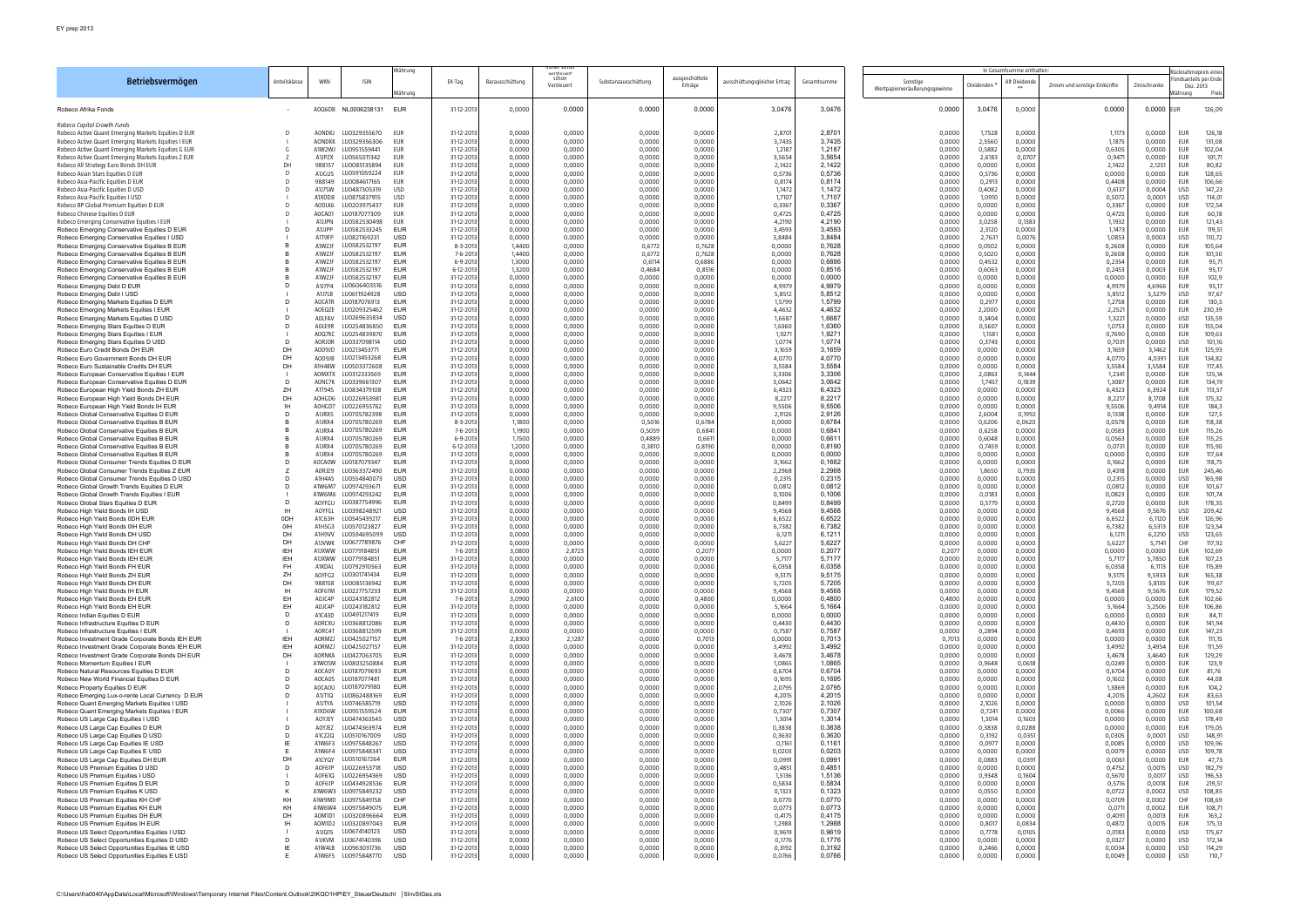|                                                                                                            |                       |                         |                              | Währung<br>vorstouart    |                          |                  |                     | In Gesamtsumme enthalten |                           |                              |                  | ≷ücknahmepreis eines                      |                  |                  |                               |                  |                                                       |
|------------------------------------------------------------------------------------------------------------|-----------------------|-------------------------|------------------------------|--------------------------|--------------------------|------------------|---------------------|--------------------------|---------------------------|------------------------------|------------------|-------------------------------------------|------------------|------------------|-------------------------------|------------------|-------------------------------------------------------|
| Betriebsvermögen                                                                                           | Anteilsklasse         | <b>WKN</b>              | ISIN                         | Währung                  | EX-Tag                   | Barausschüttung  | schon<br>Versteuert | Substanzausschüttung     | ausgeschüttete<br>Erträge | ausschüttungsgleicher Ertrag | Gesamtsumme      | Sonstige<br>Wertpapierveräußerungsgewinne | )ividenden       | Alt Dividende    | Zinsen und sonstige Einkünfte | Zinsschranke     | ondsanteils per Ende<br>Dez. 2013<br>Vährung<br>Preis |
| Robeco Afrika Fonds                                                                                        |                       | AOQ6DB                  | NL0006238131 EUR             |                          | 31-12-2013               | 0,0000           | 0,0000              | 0,0000                   | 0,0000                    | 3,0476                       | 3,0476           | 0,0000                                    | 3,0476           | 0,0000           | 0,0000                        | 0,0000           | 126,09<br>EUR                                         |
| Robeco Capital Growth Funds<br>Robeco Active Quant Emerging Markets Equities D EUR                         |                       | AONDKJ                  | LU0329355670                 | EUR                      | 31-12-2013               | 0,0000           | 0,0000              | 0,0000                   | 0,0000                    | 2,8701                       | 2,870'           | 0,0000                                    | 1,7528           | 0,0000           | 1,1173                        | 0,0000           | EUR<br>126,18                                         |
| Robeco Active Quant Emerging Markets Equities I EUR<br>Robeco Active Quant Emerging Markets Equities G EUR |                       | <b>AONDKK</b><br>A1W2WJ | LU0329356306<br>LU0951559441 | EUR<br>EUR               | 31-12-2013<br>31-12-2013 | 0,0000<br>0,0000 | 0,0000<br>0,0000    | 0,0000<br>0,0000         | 0,0000<br>0,0000          | 3,7435<br>1,2187             | 3.7435<br>1,2187 | 0,0000<br>0,0000                          | 2,5560<br>0,5882 | 0,0000<br>0,0000 | 1,1875<br>0,6305              | 0,0000<br>0,0000 | EUR<br>131,08<br>EUR<br>102,04                        |
| Robeco Active Quant Emerging Markets Equities Z EUR                                                        |                       | A1JPZX                  | LU0565011342                 | EUR                      | 31-12-2013               | 0,0000           | 0,0000              | 0,0000                   | 0,0000                    | 3,5654                       | 3,5654           | 0,0000                                    | 2,6183           | 0,0707           | 0,9471                        | 0,0000           | EUR<br>101.71                                         |
| Robeco All Strategy Euro Bonds DH EUR<br>Robeco Asian Stars Equities D EUR                                 | DH                    | 988157<br>A1JGUS        | LU0085135894<br>LU0591059224 | EUR<br>EUR               | 31-12-2013<br>31-12-2013 | 0,0000<br>0,0000 | 0,0000<br>0,0000    | 0,0000<br>0,0000         | 0,0000<br>0,0000          | 2,1422<br>0,5736             | 2,1422<br>0,5736 | 0,0000<br>0,0000                          | 0,0000<br>0,5736 | 0,0000<br>0,0000 | 2,1422<br>0,0000              | 2,1251<br>0,0000 | EUR<br>80,82<br>128,65<br>EUR                         |
| Robeco Asia-Pacific Equities D EUR                                                                         |                       | 988149                  | LU0084617165                 | EUR                      | 31-12-2013               | 0,0000           | 0,0000              | 0,0000                   | 0,0000                    | 0,8174                       | 0,8174           | 0,0000                                    | 0,2913           | 0,0000           | 0,4408                        | 0,0000           | EUR<br>106,66                                         |
| Robeco Asia-Pacific Equities D USD<br>Robeco Asia-Pacific Equities I USD                                   |                       | A1J7SW<br>A1XDD8        | LU0487305319<br>LU0875837915 | <b>USD</b><br><b>USD</b> | 31-12-2013<br>31-12-2013 | 0,0000<br>0,0000 | 0,0000<br>0,0000    | 0,0000<br>0,0000         | 0,0000<br>0,0000          | 1,1472<br>1,7107             | 1,1472<br>1,7107 | 0,0000<br>0,0000                          | 0,4082<br>1,0910 | 0,0000<br>0,0000 | 0,6137<br>0,5072              | 0,0004<br>0,0001 | <b>USD</b><br>147,23<br><b>USD</b><br>114,01          |
| Robeco BP Global Premium Equities D EUR                                                                    |                       | AODLK6                  | LU0203975437                 | EUR                      | 31-12-2013               | 0,0000           | 0,0000              | 0,0000                   | 0,0000                    | 0,3367                       | 0,3367           | 0,0000                                    | 0,0000           | 0,0000           | 0,3367                        | 0,0000           | EUR<br>172,54                                         |
| Robeco Chinese Equities D EUR<br>Robeco Emerging Conservative Equities I EUR                               |                       | AOCA01<br>A1JJPN        | LU0187077309<br>LU0582530498 | EUR<br>EUR               | 31-12-2013<br>31-12-2013 | 0,0000<br>0,0000 | 0,0000<br>0,0000    | 0,0000<br>0,0000         | 0,0000<br>0,0000          | 0,4725<br>4,2190             | 0,4725<br>4,2190 | 0,0000<br>0,0000                          | 0,0000<br>3,0258 | 0,0000<br>0,1383 | 0,4725<br>1,1932              | 0,0000<br>0,0000 | EUR<br>60,18<br>EUR<br>121,43                         |
| Robeco Emerging Conservative Equities D EUR                                                                |                       | A1JJPP                  | LU0582533245                 | <b>EUR</b>               | 31-12-2013               | 0,0000           | 0,0000              | 0,0000                   | 0,0000                    | 3,4593                       | 3,4593           | 0,0000                                    | 2,3120           | 0,0000           | 1,1473                        | 0,0000           | EUR<br>119,51                                         |
| Robeco Emerging Conservative Equities I USD<br>Robeco Emerging Conservative Equities B EUR                 |                       | A1T9FP<br>A1WZJF        | LU0821169231<br>U0582532197  | <b>USD</b><br><b>EUR</b> | 31-12-2013<br>8-3-2013   | 0,0000<br>1,4400 | 0,0000<br>0,0000    | 0,0000<br>0,6772         | 0,0000<br>0,7628          | 3,8484<br>0,0000             | 3,8484<br>0,7628 | 0,0000<br>0,0000                          | 2,7631<br>0,0502 | 0,0076<br>0,0000 | 1,0853<br>0,2608              | 0,0003<br>0,0000 | <b>USD</b><br>110,72<br>EUR<br>105,64                 |
| Robeco Emerging Conservative Equities B EUR                                                                |                       | A1WZJF                  | LU0582532197                 | <b>EUR</b>               | 7-6-201                  | 1,4400           | 0,0000              | 0,6772                   | 0,7628                    | 0,0000                       | 0,7628           | 0,0000                                    | 0,5020           | 0,0000           | 0,2608                        | 0,0000           | EUR<br>101,50                                         |
| Robeco Emerging Conservative Equities B EUR<br>Robeco Emerging Conservative Equities B EUR                 |                       | A1WZJF<br>A1WZJF        | LU0582532197<br>LU0582532197 | <b>EUR</b><br><b>EUR</b> | 6-9-201<br>6-12-2013     | 1,3000<br>1,3200 | 0,0000<br>0,0000    | 0,6114<br>0,4684         | 0,6886<br>0,8516          | 0,0000<br>0,0000             | 0,6886<br>0,8516 | 0,0000<br>0,0000                          | 0,4532<br>0,6063 | 0,0000<br>0,0000 | 0,2354<br>0,2453              | 0,0000<br>0,0003 | EUR<br>95,71<br>EUR<br>95,17                          |
| Robeco Emerging Conservative Equities B EUR                                                                |                       | A1WZJF                  | LU0582532197                 | EUR                      | 31-12-2013               | 0,0000           | 0,0000              | 0,0000                   | 0,0000                    | 0,0000                       | 0,0000           | 0,0000                                    | 0,0000           | 0,0000           | 0,0000                        | 0,0000           | EUR<br>102,9                                          |
| Robeco Emerging Debt D EUR<br>Robeco Emerging Debt I USD                                                   |                       | A1J7P4<br>A1J7LB        | LU0606403516<br>LU0611924928 | <b>EUR</b><br><b>USD</b> | 31-12-2013<br>31-12-2013 | 0,0000<br>0,0000 | 0,0000<br>0,0000    | 0,0000<br>0,0000         | 0,0000<br>0,0000          | 4,9979<br>5,8512             | 4,9979<br>5,8512 | 0,0000<br>0,0000                          | 0,0000<br>0,0000 | 0,0000<br>0,0000 | 4,9979<br>5,8512              | 4,6966<br>5,5279 | EUR<br>95,17<br><b>USD</b><br>97,67                   |
| Robeco Emerging Markets Equities D EUR                                                                     |                       | <b>AOCATR</b>           | LU0187076913                 | <b>EUR</b>               | 31-12-2013               | 0,0000           | 0,0000              | 0,0000                   | 0,0000                    | 1,5799                       | 1,5799           | 0,0000                                    | 0,2977           | 0,0000           | 1,2758                        | 0,0000           | EUR<br>130,5                                          |
| Robeco Emerging Markets Equities I EUR<br>Robeco Emerging Markets Equities D USD                           |                       | AOEQZE<br>AOLFAV        | LU0209325462<br>LU0269635834 | <b>EUR</b><br><b>USD</b> | 31-12-2013<br>31-12-2013 | 0,0000<br>0,0000 | 0,0000<br>0,0000    | 0,0000<br>0,0000         | 0,0000<br>0,0000          | 4,4632<br>1,6687             | 4,4632<br>1,6687 | 0,0000<br>0,0000                          | 2,2000<br>0,3404 | 0,0000<br>0,0000 | 2,2521<br>1,3221              | 0,0000<br>0,0000 | EUR<br>230,39<br><b>USD</b><br>135,59                 |
| Robeco Emerging Stars Equities D EUR                                                                       |                       | AOLE9R                  | LU0254836850                 | <b>EUR</b>               | 31-12-2013               | 0,0000           | 0,0000              | 0,0000                   | 0,0000                    | 1,6360                       | 1,6360           | 0,0000                                    | 0,5607           | 0,0000           | 1,0753                        | 0,0000           | EUR<br>155,04                                         |
| Robeco Emerging Stars Equities I EUR<br>Robeco Emerging Stars Equities D USD                               |                       | AOQ7KC<br>AORJOR        | LU0254839870<br>LU0337098114 | <b>EUR</b><br><b>USD</b> | 31-12-2013<br>31-12-2013 | 0,0000<br>0,0000 | 0,0000<br>0,0000    | 0,0000<br>0,0000         | 0,0000<br>0,0000          | 1,9271<br>1,0774             | 1,927'<br>1.0774 | 0,0000<br>0,0000                          | 1,1581<br>0,3743 | 0,0000<br>0,0000 | 0,7690<br>0,7031              | 0,0000<br>0,0000 | EUR<br>109,63<br><b>USD</b><br>101,16                 |
| Robeco Euro Credit Bonds DH EUR                                                                            | DH                    | AOD9JD                  | LU0213453771                 | EUR                      | 31-12-2013               | 0,0000           | 0,0000              | 0,0000                   | 0,0000                    | 3,1659                       | 3,1659           | 0,0000                                    | 0,0000           | 0,0000           | 3,1659                        | 3,1462           | EUR<br>125,93                                         |
| Robeco Euro Government Bonds DH EUR<br>Robeco Euro Sustainable Credits DH EUR                              | DH<br>DH              | AOD9JB<br>A1H4KW        | LU0213453268<br>LU0503372608 | <b>EUR</b><br><b>EUR</b> | 31-12-2013<br>31-12-2013 | 0,0000<br>0,0000 | 0,0000<br>0,0000    | 0,0000<br>0,0000         | 0,0000<br>0,0000          | 4,0770<br>3,5584             | 4,0770<br>3,5584 | 0,0000<br>0,0000                          | 0,0000<br>0,0000 | 0,0000<br>0,0000 | 4,077C<br>3,5584              | 4,0391<br>3,5584 | EUR<br>134,82<br>EUR<br>117,45                        |
| Robeco European Conservative Equities I EUR                                                                |                       | AOMXTX                  | LU0312333569                 | <b>EUR</b>               | 31-12-2013               | 0,0000           | 0,0000              | 0,0000                   | 0,0000                    | 3,3306                       | 3,3306           | 0,0000                                    | 2,0863           | 0,1444           | 1,2341                        | 0,0000           | EUR<br>125,14                                         |
| Robeco European Conservative Equities D EUR<br>Robeco European High Yield Bonds ZH EUR                     | D<br>ZH               | AONC7K<br>A1T94S        | LU0339661307<br>LU0834379108 | <b>EUR</b><br><b>EUR</b> | 31-12-2013<br>31-12-2013 | 0,0000<br>0,0000 | 0,0000<br>0,0000    | 0,0000<br>0,0000         | 0,0000<br>0,0000          | 3,0642<br>6,4323             | 3,0642<br>6,4323 | 0,0000<br>0,0000                          | 1,7457<br>0,0000 | 0,1839<br>0,0000 | 1,3087<br>6,4323              | 0,0000<br>6,3924 | 134,19<br>EUR<br>EUR<br>113,57                        |
| Robeco European High Yield Bonds DH EUR                                                                    | DH                    | AOHGD6                  | LU0226953981                 | <b>EUR</b>               | 31-12-2013               | 0,0000           | 0,0000              | 0,0000                   | 0,0000                    | 8,2217                       | 8,2217           | 0,0000                                    | 0,0000           | 0,0000           | 8,221                         | 8,1708           | EUR<br>175,32                                         |
| Robeco European High Yield Bonds IH EUR<br>Robeco Global Conservative Equities D EUR                       |                       | AOHGD7<br>A1JRX5        | LU0226955762<br>LU0705782398 | <b>EUR</b><br><b>EUR</b> | 31-12-2013<br>31-12-2013 | 0,0000<br>0,0000 | 0,0000<br>0,0000    | 0,0000<br>0,0000         | 0,0000<br>0,0000          | 9,5506<br>2,9126             | 9,5506<br>2,9126 | 0,0000<br>0,0000                          | 0,0000<br>2,6004 | 0,0000<br>0,1992 | 9,5506<br>0,1338              | 9,4914<br>0,0000 | EUR<br>184,3<br>127,5<br>EUR                          |
| Robeco Global Conservative Equities B EUR                                                                  |                       | A1JRX4                  | LU0705780269                 | EUR                      | 8-3-2013                 | 1,1800           | 0,0000              | 0,5016                   | 0,6784                    | 0,0000                       | 0,6784           | 0,0000                                    | 0,6206           | 0,0620           | 0,0578                        | 0,0000           | 118,38<br>EUR                                         |
| Robeco Global Conservative Equities B EUR<br>Robeco Global Conservative Equities B EUR                     |                       | A1JRX4<br>A1JRX4        | LU0705780269<br>LU0705780269 | <b>EUR</b><br><b>EUR</b> | 7-6-201<br>6-9-201       | 1,1900<br>1,1500 | 0,0000<br>0,0000    | 0,5059<br>0,4889         | 0,6841<br>0,6611          | 0,0000<br>0,0000             | 0,684<br>0,661'  | 0,0000<br>0,0000                          | 0,6258<br>0,6048 | 0,0000<br>0,0000 | 0,0583<br>0,0563              | 0,0000<br>0,0000 | EUR<br>115,26<br>EUR<br>115,25                        |
| Robeco Global Conservative Equities B EUR                                                                  |                       | A1JRX4                  | LU0705780269                 | <b>EUR</b>               | 6-12-2013                | 1,2000           | 0,0000              | 0,3810                   | 0,8190                    | 0,0000                       | 0,8190           | 0,0000                                    | 0,7459           | 0,0000           | 0,0731                        | 0,0000           | EUR<br>115,90                                         |
| Robeco Global Conservative Equities B EUR<br>Robeco Global Consumer Trends Equities D EUR                  |                       | A1JRX4<br>AOCAOW        | LU0705780269<br>LU0187079347 | <b>EUR</b><br><b>EUR</b> | 31-12-2013<br>31-12-2013 | 0,0000<br>0,0000 | 0,0000<br>0,0000    | 0,0000<br>0,0000         | 0,0000<br>0,0000          | 0,0000<br>0,1662             | 0,0000<br>0,1662 | 0,0000<br>0,0000                          | 0,0000<br>0,0000 | 0,0000<br>0,0000 | 0,0000<br>0,1662              | 0,0000<br>0,0000 | EUR<br>117,64<br>EUR<br>118,75                        |
| Robeco Global Consumer Trends Equities Z EUR                                                               |                       | AORJZ9                  | LU0363372490                 | <b>EUR</b>               | 31-12-2013               | 0,0000           | 0,0000              | 0,0000                   | 0,0000                    | 2,2968                       | 2,2968           | 0,0000                                    | 1,8650           | 0,7935           | 0,4318                        | 0,0000           | EUR<br>245,46                                         |
| Robeco Global Consumer Trends Equities D USD<br>Robeco Global Growth Trends Equities D EUR                 |                       | A1H4AS<br>A1W6M7        | LU0554840073<br>LU0974293671 | <b>USD</b><br><b>EUR</b> | 31-12-2013<br>31-12-2013 | 0,0000<br>0,0000 | 0,0000<br>0,0000    | 0,0000<br>0,0000         | 0,0000<br>0,0000          | 0,2315<br>0,0812             | 0,2315<br>0,0812 | 0,0000<br>0,0000                          | 0,0000<br>0,0000 | 0,0000<br>0,0000 | 0,2315<br>0,0812              | 0,0000<br>0,0000 | <b>USD</b><br>165,98<br>EUR<br>101,67                 |
| Robeco Global Growth Trends Equities I EUR                                                                 |                       | A1W6M6                  | LU0974293242                 | <b>EUR</b>               | 31-12-2013               | 0,0000           | 0,0000              | 0,0000                   | 0,0000                    | 0,1006                       | 0,1006           | 0,0000                                    | 0,0183           | 0,0000           | 0,0823                        | 0,0000           | EUR<br>101,74                                         |
| Robeco Global Stars Equities D EUF<br>Robeco High Yield Bonds IH USD                                       | -IH                   | AOYFGU<br>AOYFGL        | LU0387754996<br>LU0398248921 | <b>EUR</b><br><b>USD</b> | 31-12-2013<br>31-12-2013 | 0,0000<br>0,0000 | 0,0000<br>0,0000    | 0,0000<br>0,0000         | 0,0000<br>0,0000          | 0,8499<br>9,4568             | 0,8499<br>9,4568 | 0,0000<br>0,0000                          | 0,5779<br>0,0000 | 0,0000<br>0,0000 | 0,2720<br>9,4568              | 0,0000<br>9,5676 | EUR<br>178,35<br><b>USD</b><br>209,42                 |
| Robeco High Yield Bonds 0DH EUR                                                                            | 0 <sub>DH</sub>       | A1C63H                  | LU0545439217                 | <b>EUR</b>               | 31-12-2013               | 0,0000           | 0,0000              | 0,0000                   | 0,0000                    | 6,6522                       | 6,6522           | 0,0000                                    | 0,0000           | 0,0000           | 6,6522                        | 6,1120           | EUR<br>126,96                                         |
| Robeco High Yield Bonds OIH EUR<br>Robeco High Yield Bonds DH USD                                          | 0 <sub>IH</sub><br>DH | A1H5G3<br>A1H9VV        | LU0570123827<br>LU0594695099 | <b>EUR</b><br><b>USD</b> | 31-12-2013<br>31-12-2013 | 0,0000<br>0,0000 | 0,0000<br>0,0000    | 0,0000<br>0,0000         | 0,0000<br>0,0000          | 6,7382<br>6,1211             | 6,7382<br>6,121  | 0,0000<br>0,0000                          | 0,0000<br>0,0000 | 0,0000<br>0,0000 | 6,7382<br>6,121               | 6,5313<br>6,2210 | EUR<br>123,54<br><b>USD</b><br>123,65                 |
| Robeco High Yield Bonds DH CHF                                                                             | DH                    | A1JVWK                  | LU0677789876                 | CHF                      | 31-12-2013               | 0,0000           | 0,0000              | 0,0000                   | 0,0000                    | 5,6227                       | 5,6227           | 0,0000                                    | 0,0000           | 0,0000           | 5,6227                        | 5,7141           | CHF<br>117,92                                         |
| Robeco High Yield Bonds IEH EUR<br>Robeco High Yield Bonds IEH EUF                                         | <b>IEH</b><br>IEF     | A1JXWW<br>A1JXWW        | LU0779184851                 | EUR<br>EUF               | 7-6-2013<br>31-12-2013   | 3,0800<br>0,0000 | 2,8723<br>0,0000    | 0,0000<br>0,0000         | 0,2077<br>0,0000          | 0,0000<br>5,7177             | 0,2077<br>5,717  | 0,2077<br>0,0000                          | 0,0000<br>0,0000 | 0.0000<br>0,0000 | 0,0000<br>5,717               | 0,0000<br>5,7850 | EUR<br>102,69<br>EUR<br>107,23                        |
| Robeco High Yield Bonds FH EUR                                                                             | FH                    | A1KDAL                  | LU0792910563                 | EUR                      | 31-12-2013               | 0,0000           | 0,0000              | 0,0000                   | 0,0000                    | 6,0358                       | 6,0358           | 0,0000                                    | 0,0000           | 0,0000           | 6,0358                        | 6,111            | EUR<br>115,89                                         |
| Robeco High Yield Bonds ZH EUR<br>Robeco High Yield Bonds DH EUR                                           | ZH<br>DH              | AOYFG2<br>988158        | LU0301741434<br>LU0085136942 | <b>EUR</b><br><b>EUR</b> | 31-12-2013<br>31-12-2013 | 0,0000<br>0,0000 | 0,0000<br>0,0000    | 0,0000<br>0,0000         | 0,0000<br>0,0000          | 9,5175<br>5,7205             | 9,5175<br>5,7205 | 0,0000<br>0,0000                          | 0,0000<br>0,0000 | 0,0000<br>0,0000 | 9,5175<br>5,7205              | 9,5933<br>5,8135 | EUR<br>165,38<br>EUR<br>119,67                        |
| Robeco High Yield Bonds IH EUR                                                                             | -IH                   | A0F61M                  | LU0227757233                 | <b>EUR</b>               | 31-12-2013               | 0,0000           | 0,0000              | 0,0000                   | 0,0000                    | 9,4568                       | 9,4568           | 0,0000                                    | 0,0000           | 0,0000           | 9,4568                        | 9,5676           | 179,52<br>EUR                                         |
| Robeco High Yield Bonds EH EUR<br>Robeco High Yield Bonds EH EUR                                           | EH<br>EH              | AOJC4P<br>AOJC4P        | LU0243182812<br>LU0243182812 | <b>EUR</b><br><b>EUR</b> | 7-6-201<br>31-12-2013    | 3,0900<br>0,0000 | 2,6100<br>0,0000    | 0,0000<br>0,0000         | 0,4800<br>0,0000          | 0,0000<br>5,1664             | 0,4800<br>5,1664 | 0,4800<br>0,0000                          | 0,0000<br>0,0000 | 0,0000<br>0,0000 | 0,0000<br>5,1664              | 0,0000<br>5,2506 | EUR<br>102,66<br>EUR<br>106,86                        |
| Robeco Indian Equities D EUR                                                                               | D                     | A1C43D                  | LU0491217419                 | <b>EUR</b>               | 31-12-2013               | 0,0000           | 0,0000              | 0,0000                   | 0,0000                    | 0,0000                       | 0,0000           | 0,0000                                    | 0,0000           | 0,0000           | 0,0000                        | 0,0000           | EUR<br>84,11                                          |
| Robeco Infrastructure Equities D EUR<br>Robeco Infrastructure Equities I EUR                               |                       | AORCXU<br>AORC4T        | LU0368812086<br>LU0368812599 | EUR<br><b>EUR</b>        | 31-12-2013<br>31-12-2013 | 0,0000<br>0,0000 | 0,0000<br>0,0000    | 0,0000<br>0,0000         | 0,0000<br>0,0000          | 0,4430<br>0,7587             | 0,4430<br>0,7587 | 0,0000<br>0,0000                          | 0,0000<br>0,2894 | 0,0000<br>0,0000 | 0,4430<br>0,4693              | 0,0000<br>0,0000 | EUR<br>141,94<br>EUR<br>147,23                        |
| Robeco Investment Grade Corporate Bonds IEH EUR                                                            | IEH<br>IEH            | AORMZJ<br>AORMZJ        | LU0425027157                 | <b>EUR</b><br><b>EUR</b> | 7-6-201                  | 2,8300           | 2,1287<br>0,0000    | 0,0000                   | 0,7013                    | 0,0000                       | 0,7013<br>3,4992 | 0,7013<br>0,0000                          | 0,0000           | 0,0000<br>0,0000 | 0,0000                        | 0,0000<br>3,4954 | EUR<br>111,15                                         |
| Robeco Investment Grade Corporate Bonds IEH EUR<br>Robeco Investment Grade Corporate Bonds DH EUR          | DH                    | AORNKA                  | LU0425027157<br>LU0427063705 | <b>EUR</b>               | 31-12-2013<br>31-12-2013 | 0,0000<br>0,0000 | 0,0000              | 0,0000<br>0,0000         | 0,0000<br>0,0000          | 3,4992<br>3,4678             | 3,4678           | 0,0000                                    | 0,0000<br>0,0000 | 0,0000           | 3,4992<br>3,4678              | 3,4640           | EUR<br>111,59<br>EUR<br>129,29                        |
| Robeco Momentum Equities I EUR                                                                             |                       | A1WOSM                  | LU0803250884                 | <b>EUR</b><br><b>EUR</b> | 31-12-2013               | 0,0000           | 0,0000              | 0,0000                   | 0,0000                    | 1,0865                       | 1,0865           | 0,0000                                    | 0,9648           | 0,0618           | 0,0249                        | 0,0000           | EUR<br>123,9                                          |
| Robeco Natural Resources Equities D EUR<br>Robeco New World Financial Equities D EUR                       |                       | AOCAOY<br>AOCAOS        | LU0187079693<br>LU0187077481 | <b>EUR</b>               | 31-12-2013<br>31-12-2013 | 0,0000<br>0,0000 | 0,0000<br>0,0000    | 0,0000<br>0,0000         | 0,0000<br>0,0000          | 0,6704<br>0,1695             | 0,6704<br>0,1695 | 0,0000<br>0,0000                          | 0,0000<br>0,0000 | 0,0000<br>0,0000 | 0,6704<br>0,1602              | 0,0000<br>0,0000 | EUR<br>81,76<br>EUR<br>44,08                          |
| Robeco Property Equities D EUR                                                                             |                       | <b>AOCAOU</b>           | LU0187079180                 | <b>EUR</b><br><b>EUR</b> | 31-12-2013               | 0,0000           | 0,0000<br>0,0000    | 0,0000<br>0,0000         | 0,0000<br>0,0000          | 2,0795                       | 2,0795<br>4,2015 | 0,0000                                    | 0,0000<br>0,0000 | 0,0000<br>0,0000 | 1,3869<br>4,2015              | 0,0000<br>4,2602 | EUR<br>104,2<br>EUR<br>83,63                          |
| Robeco Emerging Lux-o-rente Local Currency D EUR<br>Robeco Quant Emerging Markets Equities I USD           |                       | A1JT1Q<br>A1JTYA        | LU0862488169<br>LU0746585719 | <b>USD</b>               | 31-12-2013<br>31-12-2013 | 0,0000<br>0,0000 | 0,0000              | 0,0000                   | 0,0000                    | 4,2015<br>2,1026             | 2,1026           | 0,0000<br>0,0000                          | 2,1026           | 0,0000           | 0,0000                        | 0,0000           | <b>USD</b><br>101,54                                  |
| Robeco Quant Emerging Markets Equities I EUR                                                               |                       | A1XD6W                  | LU0951559524                 | <b>EUR</b>               | 31-12-2013               | 0,0000           | 0,0000              | 0,0000                   | 0,0000                    | 0,7307                       | 0,7307           | 0,0000                                    | 0,7241           | 0,0000           | 0,0066                        | 0,0000           | EUR<br>100,68                                         |
| Robeco US Large Cap Equities I USD<br>Robeco US Large Cap Equities D EUR                                   |                       | <b>AOYJEY</b><br>AOYJEZ | LU0474363545<br>LU0474363974 | <b>USD</b><br><b>EUR</b> | 31-12-2013<br>31-12-2013 | 0,0000<br>0,0000 | 0,0000<br>0,0000    | 0,0000<br>0,0000         | 0,0000<br>0,0000          | 1,3014<br>0,3838             | 1,3014<br>0,3838 | 0,0000<br>0,0000                          | 1,3014<br>0,3838 | 0,1603<br>0,0288 | 0,0000<br>0,0000              | 0,0000<br>0,0000 | <b>USD</b><br>178,49<br>EUR<br>179,05                 |
| Robeco US Large Cap Equities D USD                                                                         |                       | A1CZ2Q                  | LU0510167009                 | <b>USD</b>               | 31-12-2013               | 0,0000           | 0,0000              | 0,0000                   | 0,0000                    | 0,3630                       | 0,3630           | 0,0000                                    | 0,3192           | 0,0351           | 0,0305                        | 0,000            | <b>USD</b><br>148.91                                  |
| Robeco US Large Cap Equities IE USD<br>Robeco US Large Cap Equities E USD                                  |                       | A1W6F3<br>A1W6F4        | LU0975848267<br>LU0975848341 | <b>USD</b><br><b>USD</b> | 31-12-2013<br>31-12-2013 | 0,0000<br>0,0000 | 0,0000<br>0,0000    | 0,0000<br>0,0000         | 0,0000<br>0,0000          | 0,1161<br>0,0203             | 0.1161<br>0,0203 | 0,0000<br>0,0000                          | 0,0977<br>0,0000 | 0,0000<br>0,0000 | 0,0085<br>0,0079              | 0,0000<br>0,0000 | <b>USD</b><br>109,96<br><b>USD</b><br>109,78          |
| Robeco US Large Cap Equities DH EUR                                                                        | DH                    | A1CYQY                  | LU0510167264                 | <b>EUR</b>               | 31-12-2013               | 0,0000           | 0,0000              | 0,0000                   | 0,0000                    | 0,0991                       | 0,0991           | 0,0000                                    | 0,0883           | 0,0391           | 0,0061                        | 0,0000           | EUR<br>47,73                                          |
| Robeco US Premium Equities D USD<br>Robeco US Premium Equities I USD                                       |                       | AOF61P<br>A0F61Q        | LU0226953718<br>LU0226954369 | <b>USD</b><br><b>USD</b> | 31-12-2013<br>31-12-2013 | 0,0000<br>0,0000 | 0,0000<br>0,0000    | 0,0000<br>0,0000         | 0,0000<br>0,0000          | 0,4851<br>1,5136             | 0,4851<br>1,5136 | 0,0000<br>0,0000                          | 0,0000<br>0,9348 | 0,0000<br>0,1604 | 0,4752<br>0,5670              | 0,0015<br>0,0017 | <b>USD</b><br>182,79<br><b>USD</b><br>196,53          |
| Robeco US Premium Equities D EUR                                                                           |                       | AOF61P                  | LU0434928536                 | <b>EUR</b>               | 31-12-2013               | 0,0000           | 0,0000              | 0,0000                   | 0,0000                    | 0,5834                       | 0,5834           | 0,0000                                    | 0,0000           | 0,0000           | 0,5716                        | 0,0018           | EUR<br>219,51                                         |
| Robeco US Premium Equities K USD<br>Robeco US Premium Equities KH CHF                                      | KH                    | A1W6W3<br>A1W9MD        | LU0975849232<br>LU0975849158 | <b>USD</b><br>CHF        | 31-12-2013<br>31-12-2013 | 0,0000<br>0,0000 | 0,0000<br>0,0000    | 0,0000<br>0,0000         | 0,0000<br>0,0000          | 0,1323<br>0,0770             | 0,1323<br>0,0770 | 0,0000<br>0,0000                          | 0,0550<br>0,0000 | 0,0000<br>0,0000 | 0,0722<br>0,0709              | 0,0002<br>0,0002 | <b>USD</b><br>108,85<br>CHF<br>108,69                 |
| Robeco US Premium Equities KH EUR                                                                          | KH                    | A1W6W4                  | LU0975849075                 | <b>EUR</b>               | 31-12-2013               | 0,0000           | 0,0000              | 0,0000                   | 0,0000                    | 0,0773                       | 0,0773           | 0,0000                                    | 0,0000           | 0,0000           | 0,0711                        | 0,0002           | EUR<br>108,71                                         |
| Robeco US Premium Equities DH EUR<br>Robeco US Premium Equities IH EUR                                     | DH<br>-IH             | AOM1D1<br>AOM1D2        | LU0320896664<br>LU0320897043 | <b>EUR</b><br>EUR        | 31-12-2013<br>31-12-2013 | 0,0000<br>0,0000 | 0,0000<br>0,0000    | 0,0000<br>0,0000         | 0,0000<br>0,0000          | 0,4175<br>1,2988             | 0,4175<br>1,2988 | 0,0000<br>0,0000                          | 0,0000<br>0,8017 | 0,0000<br>0,0834 | 0,4091<br>0,4872              | 0,0013<br>0,0015 | EUR<br>163,2<br>175,13<br>EUR                         |
| Robeco US Select Opportunities Equities I USD                                                              |                       | A1JQ15                  | LU0674140123                 | <b>USD</b>               | 31-12-2013               | 0,0000           | 0,0000              | 0,0000                   | 0,0000                    | 0,9619                       | 0,9619           | 0,0000                                    | 0,7778           | 0,0105           | 0,0183                        | 0,0000           | <b>USD</b><br>175,67                                  |
| Robeco US Select Opportunities Equities D USD<br>Robeco US Select Opportunities Equities IE USD            | D                     | A1JKVM<br>A1W4LB        | LU0674140396<br>LU0963031736 | <b>USD</b><br><b>USD</b> | 31-12-2013<br>31-12-2013 | 0,0000<br>0,0000 | 0,0000<br>0,0000    | 0,0000<br>0,0000         | 0,0000<br>0,0000          | 0,1776<br>0,3192             | 0,1776<br>0,3192 | 0,0000<br>0,0000                          | 0,0000<br>0,2466 | 0,0000<br>0,0000 | 0,0327<br>0,0034              | 0,0000<br>0,0000 | <b>USD</b><br>172,14<br><b>USD</b><br>114,29          |
| Robeco US Select Opportunities Equities E USD                                                              |                       |                         | A1W6F5 LU0975848770          | <b>USD</b>               | 31-12-2013               | 0,0000           | 0,0000              | 0,0000                   | 0,0000                    | 0,0766                       | 0,0766           | 0,0000                                    | 0,0000           | 0,0000           | 0,0049                        | 0,0000           | USD<br>110,7                                          |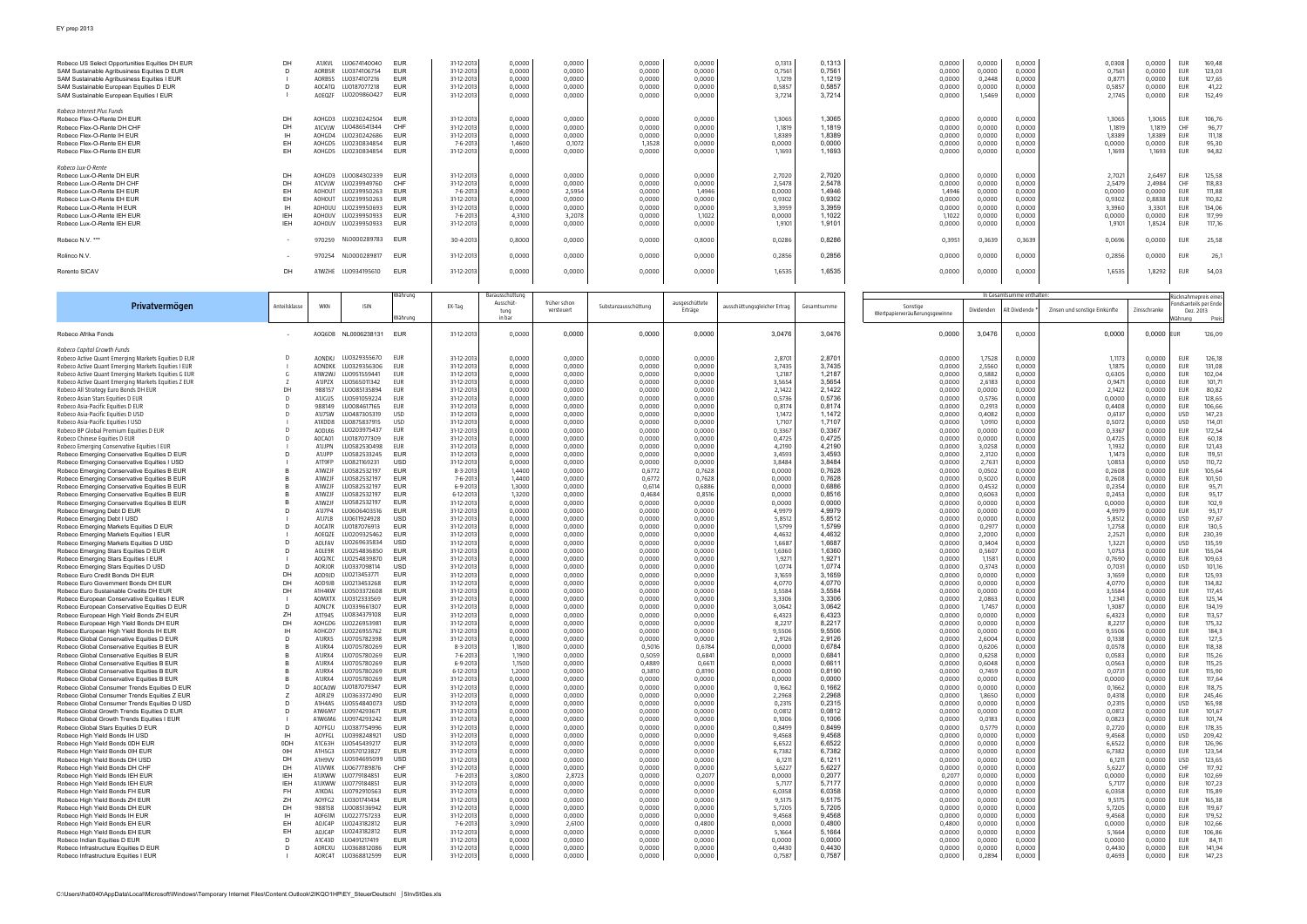| Robeco US Select Opportunities Equities DH EUR<br>SAM Sustainable Agribusiness Equities D EUR<br>SAM Sustainable Agribusiness Equities I EUR<br>SAM Sustainable European Equities D EUR<br>SAM Sustainable European Equities I EUR                                                                                                                                                                                                                                                                                                                                                                                                                                                                                                                                                                                                                                                                                                                                                                                                                                                                                                                                                                         | DН<br>D<br>D                                                                                                                                                             | <b>A1JKVL</b><br>AORB5R<br>AORB5S<br>AOCATQ<br>AOEQZF                                                                                                                                                                                                                                                 | LU0674140040<br>LU0374106754<br>LU0374107216<br>LU0187077218<br>LU0209860427                                                                                                                                                                                                                                                                                                                                                                                                 | EUR<br><b>EUR</b><br><b>EUR</b><br><b>EUR</b><br><b>EUR</b>                                                                                                                                                                                                                                                                                                | 31-12-2013<br>31-12-2013<br>31-12-2013<br>31-12-2013<br>31-12-2013                                                                                                                                                                                                                                                                                                                                  | 0,0000<br>0,0000<br>0,0000<br>0,0000<br>0,0000                                                                                                                                                                                                                                                 | 0,0000<br>0,0000<br>0,0000<br>0,0000<br>0,0000                                                                                                                                                                                                                                                 | 0,0000<br>0,0000<br>0,0000<br>0,0000<br>0,0000                                                                                                                                                                                                                                                 | 0,0000<br>0,0000<br>0,0000<br>0,0000<br>0,0000                                                                                                                                                                                                                                                | 0,1313<br>0,7561<br>1,1219<br>0,5857<br>3,7214                                                                                                                                                                                                                                                 | 0.1313<br>0,7561<br>1,1219<br>0,5857<br>3,7214                                                                                                                                                                                                                                                 | 0,0000<br>0,0000<br>0,0000<br>0,0000<br>0,0000                                                                                                                                                                                                                                                 | 0,0000<br>0,0000<br>0,2448<br>0,0000<br>1,5469                                                                                                                                                                                                                                                 | 0,0000<br>0,0000<br>0,0000<br>0,0000<br>0,0000                                                                                                                                                                                                                                                 | 0,0308<br>0,7561<br>0,877<br>0,5857<br>2,1745                                                                                                                                                                                                                                               | 0,0000<br>0,0000<br>0,0000<br>0,0000<br>0,0000                                                                                                                                                                                                                                                 | <b>EUR</b><br>EUR<br>EUR<br>EUR<br>EUR                                                                                                                                                                                       | 169,48<br>123,03<br>127,65<br>41,22<br>152,49                                                                                                                                                                                                                                                |
|------------------------------------------------------------------------------------------------------------------------------------------------------------------------------------------------------------------------------------------------------------------------------------------------------------------------------------------------------------------------------------------------------------------------------------------------------------------------------------------------------------------------------------------------------------------------------------------------------------------------------------------------------------------------------------------------------------------------------------------------------------------------------------------------------------------------------------------------------------------------------------------------------------------------------------------------------------------------------------------------------------------------------------------------------------------------------------------------------------------------------------------------------------------------------------------------------------|--------------------------------------------------------------------------------------------------------------------------------------------------------------------------|-------------------------------------------------------------------------------------------------------------------------------------------------------------------------------------------------------------------------------------------------------------------------------------------------------|------------------------------------------------------------------------------------------------------------------------------------------------------------------------------------------------------------------------------------------------------------------------------------------------------------------------------------------------------------------------------------------------------------------------------------------------------------------------------|------------------------------------------------------------------------------------------------------------------------------------------------------------------------------------------------------------------------------------------------------------------------------------------------------------------------------------------------------------|-----------------------------------------------------------------------------------------------------------------------------------------------------------------------------------------------------------------------------------------------------------------------------------------------------------------------------------------------------------------------------------------------------|------------------------------------------------------------------------------------------------------------------------------------------------------------------------------------------------------------------------------------------------------------------------------------------------|------------------------------------------------------------------------------------------------------------------------------------------------------------------------------------------------------------------------------------------------------------------------------------------------|------------------------------------------------------------------------------------------------------------------------------------------------------------------------------------------------------------------------------------------------------------------------------------------------|-----------------------------------------------------------------------------------------------------------------------------------------------------------------------------------------------------------------------------------------------------------------------------------------------|------------------------------------------------------------------------------------------------------------------------------------------------------------------------------------------------------------------------------------------------------------------------------------------------|------------------------------------------------------------------------------------------------------------------------------------------------------------------------------------------------------------------------------------------------------------------------------------------------|------------------------------------------------------------------------------------------------------------------------------------------------------------------------------------------------------------------------------------------------------------------------------------------------|------------------------------------------------------------------------------------------------------------------------------------------------------------------------------------------------------------------------------------------------------------------------------------------------|------------------------------------------------------------------------------------------------------------------------------------------------------------------------------------------------------------------------------------------------------------------------------------------------|---------------------------------------------------------------------------------------------------------------------------------------------------------------------------------------------------------------------------------------------------------------------------------------------|------------------------------------------------------------------------------------------------------------------------------------------------------------------------------------------------------------------------------------------------------------------------------------------------|------------------------------------------------------------------------------------------------------------------------------------------------------------------------------------------------------------------------------|----------------------------------------------------------------------------------------------------------------------------------------------------------------------------------------------------------------------------------------------------------------------------------------------|
| Robeco Interest Plus Funds<br>Robeco Flex-O-Rente DH EUR<br>Robeco Flex-O-Rente DH CHF<br>Robeco Flex-O-Rente IH EUR<br>Robeco Flex-O-Rente EH EUR<br>Robeco Flex-O-Rente EH EUR                                                                                                                                                                                                                                                                                                                                                                                                                                                                                                                                                                                                                                                                                                                                                                                                                                                                                                                                                                                                                           | DH<br><b>DH</b><br><b>IH</b><br>EH<br>EH                                                                                                                                 | AOHGD3<br>A1CVLW<br>AOHGD4<br>AOHGD5<br>AOHGD5                                                                                                                                                                                                                                                        | LU0230242504<br>LU0486541344<br>LU0230242686<br>LU0230834854<br>LU0230834854                                                                                                                                                                                                                                                                                                                                                                                                 | <b>EUR</b><br>CHF<br>EUR<br>EUR<br><b>EUR</b>                                                                                                                                                                                                                                                                                                              | 31-12-2013<br>31-12-2013<br>31-12-201<br>7-6-2013<br>31-12-2013                                                                                                                                                                                                                                                                                                                                     | 0,0000<br>0,0000<br>0,0000<br>1,4600<br>0,0000                                                                                                                                                                                                                                                 | 0,0000<br>0,0000<br>0,0000<br>0,1072<br>0,0000                                                                                                                                                                                                                                                 | 0,0000<br>0,0000<br>0,0000<br>1,3528<br>0,0000                                                                                                                                                                                                                                                 | 0,0000<br>0,0000<br>0,0000<br>0,0000<br>0,0000                                                                                                                                                                                                                                                | 1,3065<br>1,1819<br>1,8389<br>0,0000<br>1,1693                                                                                                                                                                                                                                                 | 1,3065<br>1,1819<br>1,8389<br>0,0000<br>1,1693                                                                                                                                                                                                                                                 | 0,0000<br>0,0000<br>0,0000<br>0,0000<br>0,0000                                                                                                                                                                                                                                                 | 0,0000<br>0,0000<br>0,0000<br>0,0000<br>0,0000                                                                                                                                                                                                                                                 | 0,0000<br>0,0000<br>0,0000<br>0,0000<br>0,0000                                                                                                                                                                                                                                                 | 1,3065<br>1,1819<br>1,8389<br>0,0000<br>1,1693                                                                                                                                                                                                                                              | 1,3065<br>1,1819<br>1,8389<br>0,0000<br>1,1693                                                                                                                                                                                                                                                 | EUR<br>CHF<br>EUR<br>EUR<br>EUR                                                                                                                                                                                              | 106,76<br>96,77<br>111,18<br>95,30<br>94,82                                                                                                                                                                                                                                                  |
| Robeco Lux-O-Rente<br>Robeco Lux-O-Rente DH EUR<br>Robeco Lux-O-Rente DH CHF<br>Robeco Lux-O-Rente EH EUR<br>Robeco Lux-O-Rente EH EUR<br>Robeco Lux-O-Rente IH EUR<br>Robeco Lux-O-Rente IEH EUR<br>Robeco Lux-O-Rente IEH EUR                                                                                                                                                                                                                                                                                                                                                                                                                                                                                                                                                                                                                                                                                                                                                                                                                                                                                                                                                                            | DH<br>DH<br>EH.<br><b>EH</b><br>IН<br>IEH<br>IEH                                                                                                                         | AOHGD3<br>A1CVLW<br>AOHOUT<br>AOHOUT<br>AOHOUU<br>AOHOUV<br>AOHOUV                                                                                                                                                                                                                                    | LU0084302339<br>LU0239949760<br>LU0239950263<br>LU0239950263<br>LU0239950693<br>LU0239950933<br>LU0239950933                                                                                                                                                                                                                                                                                                                                                                 | EUR<br>CHF<br>EUR<br><b>EUR</b><br>EUR<br><b>EUR</b><br><b>EUR</b>                                                                                                                                                                                                                                                                                         | 31-12-201<br>31-12-2013<br>7-6-201<br>31-12-2013<br>31-12-2013<br>7-6-201<br>31-12-2013                                                                                                                                                                                                                                                                                                             | 0,0000<br>0,0000<br>4,0900<br>0,0000<br>0,0000<br>4,3100<br>0,0000                                                                                                                                                                                                                             | 0,0000<br>0,0000<br>2,5954<br>0,0000<br>0,0000<br>3,2078<br>0,0000                                                                                                                                                                                                                             | 0,0000<br>0,0000<br>0,0000<br>0,0000<br>0,0000<br>0,0000<br>0,0000                                                                                                                                                                                                                             | 0,0000<br>0,0000<br>1,4946<br>0,0000<br>0,0000<br>1,1022<br>0,0000                                                                                                                                                                                                                            | 2,7020<br>2,5478<br>0,0000<br>0,9302<br>3,3959<br>0,0000<br>1,9101                                                                                                                                                                                                                             | 2,7020<br>2,5478<br>1,4946<br>0,9302<br>3,3959<br>1,1022<br>1,9101                                                                                                                                                                                                                             | 0,0000<br>0,0000<br>1,4946<br>0,0000<br>0,0000<br>1,1022<br>0,0000                                                                                                                                                                                                                             | 0,0000<br>0,0000<br>0,0000<br>0,0000<br>0,0000<br>0,0000<br>0,0000                                                                                                                                                                                                                             | 0,0000<br>0,0000<br>0,0000<br>0,0000<br>0,0000<br>0,0000<br>0,0000                                                                                                                                                                                                                             | 2,702<br>2,5479<br>0,0000<br>0,9302<br>3,3960<br>0,0000<br>1,910                                                                                                                                                                                                                            | 2,6497<br>2,4984<br>0,0000<br>0,8838<br>3,3301<br>0,0000<br>1,8524                                                                                                                                                                                                                             | EUR<br>CHF<br>EUR<br>EUR<br>EUR<br>EUR<br>EUR                                                                                                                                                                                | 125,58<br>118,83<br>111,88<br>110,82<br>134,06<br>117,99<br>117,16                                                                                                                                                                                                                           |
| Robeco N.V. ***                                                                                                                                                                                                                                                                                                                                                                                                                                                                                                                                                                                                                                                                                                                                                                                                                                                                                                                                                                                                                                                                                                                                                                                            |                                                                                                                                                                          | 970259                                                                                                                                                                                                                                                                                                | NL0000289783                                                                                                                                                                                                                                                                                                                                                                                                                                                                 | EUR                                                                                                                                                                                                                                                                                                                                                        | 30-4-2013                                                                                                                                                                                                                                                                                                                                                                                           | 0,8000                                                                                                                                                                                                                                                                                         | 0,0000                                                                                                                                                                                                                                                                                         | 0,0000                                                                                                                                                                                                                                                                                         | 0,8000                                                                                                                                                                                                                                                                                        | 0,0286                                                                                                                                                                                                                                                                                         | 0,8286                                                                                                                                                                                                                                                                                         | 0,3951                                                                                                                                                                                                                                                                                         | 0,3639                                                                                                                                                                                                                                                                                         | 0,3639                                                                                                                                                                                                                                                                                         | 0,0696                                                                                                                                                                                                                                                                                      | 0,0000                                                                                                                                                                                                                                                                                         | EUR                                                                                                                                                                                                                          | 25,58                                                                                                                                                                                                                                                                                        |
| Rolinco N.V.                                                                                                                                                                                                                                                                                                                                                                                                                                                                                                                                                                                                                                                                                                                                                                                                                                                                                                                                                                                                                                                                                                                                                                                               |                                                                                                                                                                          | 970254                                                                                                                                                                                                                                                                                                | NL0000289817                                                                                                                                                                                                                                                                                                                                                                                                                                                                 | <b>EUR</b>                                                                                                                                                                                                                                                                                                                                                 | 31-12-2013                                                                                                                                                                                                                                                                                                                                                                                          | 0,0000                                                                                                                                                                                                                                                                                         | 0,0000                                                                                                                                                                                                                                                                                         | 0,0000                                                                                                                                                                                                                                                                                         | 0,0000                                                                                                                                                                                                                                                                                        | 0,2856                                                                                                                                                                                                                                                                                         | 0,2856                                                                                                                                                                                                                                                                                         | 0,0000                                                                                                                                                                                                                                                                                         | 0,0000                                                                                                                                                                                                                                                                                         | 0,0000                                                                                                                                                                                                                                                                                         | 0,2856                                                                                                                                                                                                                                                                                      | 0,0000                                                                                                                                                                                                                                                                                         | EUR                                                                                                                                                                                                                          | 26,1                                                                                                                                                                                                                                                                                         |
| Rorento SICAV                                                                                                                                                                                                                                                                                                                                                                                                                                                                                                                                                                                                                                                                                                                                                                                                                                                                                                                                                                                                                                                                                                                                                                                              | DH                                                                                                                                                                       | A1WZHE                                                                                                                                                                                                                                                                                                | LU0934195610                                                                                                                                                                                                                                                                                                                                                                                                                                                                 | EUR                                                                                                                                                                                                                                                                                                                                                        | 31-12-2013                                                                                                                                                                                                                                                                                                                                                                                          | 0,0000                                                                                                                                                                                                                                                                                         | 0,0000                                                                                                                                                                                                                                                                                         | 0,0000                                                                                                                                                                                                                                                                                         | 0,0000                                                                                                                                                                                                                                                                                        | 1,6535                                                                                                                                                                                                                                                                                         | 1,6535                                                                                                                                                                                                                                                                                         | 0,0000                                                                                                                                                                                                                                                                                         | 0,0000                                                                                                                                                                                                                                                                                         | 0,0000                                                                                                                                                                                                                                                                                         | 1,6535                                                                                                                                                                                                                                                                                      | 1,8292                                                                                                                                                                                                                                                                                         | EUR                                                                                                                                                                                                                          | 54,03                                                                                                                                                                                                                                                                                        |
|                                                                                                                                                                                                                                                                                                                                                                                                                                                                                                                                                                                                                                                                                                                                                                                                                                                                                                                                                                                                                                                                                                                                                                                                            |                                                                                                                                                                          |                                                                                                                                                                                                                                                                                                       |                                                                                                                                                                                                                                                                                                                                                                                                                                                                              |                                                                                                                                                                                                                                                                                                                                                            |                                                                                                                                                                                                                                                                                                                                                                                                     |                                                                                                                                                                                                                                                                                                |                                                                                                                                                                                                                                                                                                |                                                                                                                                                                                                                                                                                                |                                                                                                                                                                                                                                                                                               |                                                                                                                                                                                                                                                                                                |                                                                                                                                                                                                                                                                                                |                                                                                                                                                                                                                                                                                                |                                                                                                                                                                                                                                                                                                |                                                                                                                                                                                                                                                                                                |                                                                                                                                                                                                                                                                                             |                                                                                                                                                                                                                                                                                                |                                                                                                                                                                                                                              |                                                                                                                                                                                                                                                                                              |
| Privatvermögen                                                                                                                                                                                                                                                                                                                                                                                                                                                                                                                                                                                                                                                                                                                                                                                                                                                                                                                                                                                                                                                                                                                                                                                             | Anteilsklasse                                                                                                                                                            | <b>WKN</b>                                                                                                                                                                                                                                                                                            | <b>ISIN</b>                                                                                                                                                                                                                                                                                                                                                                                                                                                                  | Währung<br>Währung                                                                                                                                                                                                                                                                                                                                         | EX-Tag                                                                                                                                                                                                                                                                                                                                                                                              | Barausschüttung<br>Ausschüt-<br>tung<br>in bar                                                                                                                                                                                                                                                 | früher schon<br>versteuert                                                                                                                                                                                                                                                                     | Substanzausschüttung                                                                                                                                                                                                                                                                           | ausgeschüttete<br>Erträge                                                                                                                                                                                                                                                                     | ausschüttungsgleicher Ertrag                                                                                                                                                                                                                                                                   | Gesamtsumme                                                                                                                                                                                                                                                                                    | Sonstige<br>Wertpapierveräußerungsgewinne                                                                                                                                                                                                                                                      | Dividenden                                                                                                                                                                                                                                                                                     | In Gesamtsumme enthalten:<br>Alt Dividende                                                                                                                                                                                                                                                     | Zinsen und sonstige Einkünfte                                                                                                                                                                                                                                                               | Zinsschranke                                                                                                                                                                                                                                                                                   | ücknahmepreis eines<br>Dez. 2013<br>/ährung                                                                                                                                                                                  | ondsanteils per Ende<br>Preis                                                                                                                                                                                                                                                                |
| Robeco Afrika Fonds                                                                                                                                                                                                                                                                                                                                                                                                                                                                                                                                                                                                                                                                                                                                                                                                                                                                                                                                                                                                                                                                                                                                                                                        |                                                                                                                                                                          | AOQ6DB                                                                                                                                                                                                                                                                                                | NL0006238131                                                                                                                                                                                                                                                                                                                                                                                                                                                                 | EUR                                                                                                                                                                                                                                                                                                                                                        | 31-12-2013                                                                                                                                                                                                                                                                                                                                                                                          | 0,0000                                                                                                                                                                                                                                                                                         | 0,0000                                                                                                                                                                                                                                                                                         | 0,0000                                                                                                                                                                                                                                                                                         | 0,0000                                                                                                                                                                                                                                                                                        | 3,0476                                                                                                                                                                                                                                                                                         | 3,0476                                                                                                                                                                                                                                                                                         | 0,0000                                                                                                                                                                                                                                                                                         | 3,0476                                                                                                                                                                                                                                                                                         | 0,0000                                                                                                                                                                                                                                                                                         | 0,0000                                                                                                                                                                                                                                                                                      | 0,0000                                                                                                                                                                                                                                                                                         | UR                                                                                                                                                                                                                           | 126,09                                                                                                                                                                                                                                                                                       |
| Robeco Active Quant Emerging Markets Equities G EUR<br>Robeco Active Quant Emerging Markets Equities Z EUR<br>Robeco All Strategy Euro Bonds DH EUR<br>Robeco Asian Stars Equities D EUR<br>Robeco Asia-Pacific Equities D EUR<br>Robeco Asia-Pacific Equities D USD<br>Robeco Asia-Pacific Equities I USD<br>Robeco BP Global Premium Equities D EUR<br>Robeco Chinese Equities D EUR<br>Robeco Emerging Conservative Equities I EUR<br>Robeco Emerging Conservative Equities D EUR<br>Robeco Emerging Conservative Equities I USD<br>Robeco Emerging Conservative Equities B EUR<br>Robeco Emerging Conservative Equities B EUR                                                                                                                                                                                                                                                                                                                                                                                                                                                                                                                                                                          | G<br>DH<br>D<br>Ð                                                                                                                                                        | A1W2WJ<br>A1JPZX<br>988157<br>A1JGUS<br>988149<br>A1J7SW<br>A1XDD8<br>AODLK6<br>AOCA01<br>A1JJPN<br>A1JJPP<br>A1T9FP<br>A1WZJF<br>A1WZJF                                                                                                                                                              | LU0951559441<br>LU0565011342<br>LU0085135894<br>LU0591059224<br>LU0084617165<br>LU0487305319<br>LU0875837915<br>LU0203975437<br>LU0187077309<br>LU0582530498<br>LU0582533245<br>LU0821169231<br>LU0582532197<br>LU0582532197                                                                                                                                                                                                                                                 | EUR<br><b>EUR</b><br><b>EUR</b><br>EUR<br><b>EUR</b><br><b>USD</b><br><b>USD</b><br>EUR<br>EUR<br>EUR<br>EUR<br><b>USD</b><br><b>EUR</b><br><b>EUR</b>                                                                                                                                                                                                     | 31-12-201<br>31-12-2013<br>31-12-2013<br>31-12-2013<br>31-12-2013<br>31-12-201<br>31-12-2013<br>31-12-201<br>31-12-2013<br>31-12-201<br>31-12-2013<br>31-12-2013<br>31-12-2013<br>8-3-2013<br>7-6-201                                                                                                                                                                                               | 0,0000<br>0,0000<br>0,0000<br>0,0000<br>0,0000<br>0,0000<br>0,0000<br>0,0000<br>0,0000<br>0,0000<br>0,0000<br>0,0000<br>0,0000<br>1,4400<br>1,4400                                                                                                                                             | 0,0000<br>0,0000<br>0,0000<br>0,0000<br>0,0000<br>0,0000<br>0,0000<br>0,0000<br>0,0000<br>0,0000<br>0,0000<br>0,0000<br>0,0000<br>0,0000<br>0,0000                                                                                                                                             | 0,0000<br>0,0000<br>0,0000<br>0,0000<br>0,0000<br>0,0000<br>0,0000<br>0,0000<br>0,0000<br>0,0000<br>0,0000<br>0,0000<br>0,0000<br>0,6772<br>0,6772                                                                                                                                             | 0,0000<br>0,0000<br>0,0000<br>0,0000<br>0,0000<br>0,0000<br>0,0000<br>0,0000<br>0,0000<br>0,0000<br>0,0000<br>0,0000<br>0,0000<br>0,7628<br>0,7628                                                                                                                                            | 3,7435<br>1,2187<br>3,5654<br>2,1422<br>0,5736<br>0,8174<br>1,1472<br>1,7107<br>0,3367<br>0,4725<br>4,2190<br>3,4593<br>3,8484<br>0,0000<br>0,0000                                                                                                                                             | 1,2187<br>3,5654<br>2,1422<br>0,5736<br>0,8174<br>1,1472<br>1,7107<br>0,3367<br>0,4725<br>4,2190<br>3,4593<br>3,8484<br>0,7628<br>0,7628                                                                                                                                                       | 0,0000<br>0,0000<br>0,0000<br>0,0000<br>0,0000<br>0,0000<br>0,0000<br>0,0000<br>0,0000<br>0,0000<br>0,0000<br>0,0000<br>0,0000<br>0,0000<br>0,0000                                                                                                                                             | 2,5560<br>0,5882<br>2,6183<br>0,0000<br>0,5736<br>0,2913<br>0,4082<br>1,0910<br>0,0000<br>0,0000<br>3,0258<br>2,3120<br>2,7631<br>0,0502<br>0,5020                                                                                                                                             | 0,0000<br>0,0000<br>0,0000<br>0,0000<br>0,0000<br>0,0000<br>0,0000<br>0,0000<br>0,0000<br>0,0000<br>0,0000<br>0,0000<br>0,0000<br>0,0000<br>0,0000                                                                                                                                             | 1,1875<br>0,6305<br>0,947<br>2,1422<br>0,0000<br>0,4408<br>0,6137<br>0,5072<br>0,336<br>0,4725<br>1,1932<br>1,1473<br>1,0853<br>0,2608<br>0,2608                                                                                                                                            | 0,0000<br>0,0000<br>0,0000<br>0,0000<br>0,0000<br>0,0000<br>0,0000<br>0,0000<br>0,0000<br>0,0000<br>0,0000<br>0,0000<br>0,0000<br>0,0000<br>0,0000                                                                                                                                             | EUR<br>EUR<br>EUR<br>EUR<br>EUR<br>USD<br>USD<br>EUR<br>EUR<br>EUR<br>EUR<br>USD<br>EUR<br>EUR                                                                                                                               | 131,08<br>102,04<br>101,71<br>80,82<br>128,65<br>106,66<br>147,23<br>114,01<br>172,54<br>60,18<br>121,43<br>119,51<br>110,72<br>105,64<br>101,50                                                                                                                                             |
| Robeco Emerging Conservative Equities B EUR<br>Robeco Emerging Conservative Equities B EUR<br>Robeco Emerging Conservative Equities B EUR<br>Robeco Emerging Debt D EUR<br>Robeco Emerging Debt I USD<br>Robeco Emerging Markets Equities D EUR<br>Robeco Emerging Markets Equities I EUR<br>Robeco Emerging Markets Equities D USD<br>Robeco Emerging Stars Equities D EUR<br>Robeco Emerging Stars Equities I EUR<br>Robeco Emerging Stars Equities D USD<br>Robeco Euro Credit Bonds DH EUR<br>Robeco Euro Government Bonds DH EUR<br>Robeco Euro Sustainable Credits DH EUR<br>Robeco European Conservative Equities I EUR                                                                                                                                                                                                                                                                                                                                                                                                                                                                                                                                                                             | D<br>D<br>DH<br>DH<br>DH                                                                                                                                                 | A1WZJF<br>A1WZJF<br>A1WZJF<br>A1J7P4<br>A1J7LB<br>AOCATR<br>AOEQZE<br>AOLFAV<br>AOLE9R<br>AOQ7KC<br>AORJOR<br>AOD9JD<br>AOD9JB<br>A1H4KW<br>AOMXTX                                                                                                                                                    | LU0582532197<br>LU0582532197<br>LU0582532197<br>LU0606403516<br>U0611924928<br>LU0187076913<br>LU0209325462<br>LU0269635834<br>LU0254836850<br>LU0254839870<br>LU0337098114<br>LU0213453771<br>LU0213453268<br>LU0503372608<br>LU0312333569                                                                                                                                                                                                                                  | <b>EUR</b><br><b>EUR</b><br><b>EUR</b><br><b>EUR</b><br><b>USD</b><br><b>EUR</b><br>EUR<br><b>USD</b><br><b>EUR</b><br><b>EUR</b><br><b>USD</b><br><b>EUR</b><br><b>EUR</b><br><b>EUR</b><br><b>EUR</b>                                                                                                                                                    | 6-9-2013<br>6-12-201<br>31-12-2013<br>31-12-201<br>31-12-2013<br>31-12-2013<br>31-12-2013<br>31-12-2013<br>31-12-2013<br>31-12-2013<br>31-12-2013<br>31-12-2013<br>31-12-201<br>31-12-2013<br>31-12-2013                                                                                                                                                                                            | 1,3000<br>1,3200<br>0,0000<br>0,0000<br>0,0000<br>0,0000<br>0,0000<br>0,0000<br>0,0000<br>0,0000<br>0,0000<br>0,0000<br>0,0000<br>0,0000<br>0,0000                                                                                                                                             | 0,0000<br>0,0000<br>0,0000<br>0,0000<br>0,0000<br>0,0000<br>0,0000<br>0,0000<br>0,0000<br>0,0000<br>0,0000<br>0,0000<br>0,0000<br>0,0000<br>0,0000                                                                                                                                             | 0,6114<br>0,4684<br>0,0000<br>0,0000<br>0.0000<br>0,0000<br>0,0000<br>0,0000<br>0,0000<br>0,0000<br>0,0000<br>0,0000<br>0,0000<br>0,0000<br>0,0000                                                                                                                                             | 0,6886<br>0,8516<br>0,0000<br>0,0000<br>0,0000<br>0,0000<br>0,0000<br>0,0000<br>0,0000<br>0,0000<br>0,0000<br>0,0000<br>0,0000<br>0,0000<br>0,0000                                                                                                                                            | 0,0000<br>0,0000<br>0,0000<br>4,9979<br>5,8512<br>1,5799<br>4,4632<br>1.6687<br>1,6360<br>1,9271<br>1,0774<br>3,1659<br>4,0770<br>3,5584<br>3,3306                                                                                                                                             | 0,6886<br>0,8516<br>0,0000<br>4,9979<br>5,8512<br>1,5799<br>4,4632<br>1.6687<br>1,6360<br>1,9271<br>1,0774<br>3,1659<br>4,0770<br>3,5584<br>3,3306                                                                                                                                             | 0,0000<br>0,0000<br>0,0000<br>0,0000<br>0,0000<br>0,0000<br>0,0000<br>0,0000<br>0,0000<br>0,0000<br>0,0000<br>0,0000<br>0,0000<br>0,0000<br>0,0000                                                                                                                                             | 0,4532<br>0,6063<br>0,0000<br>0,0000<br>0,0000<br>0,2977<br>2,2000<br>0,3404<br>0,5607<br>1,1581<br>0,3743<br>0,0000<br>0,0000<br>0,0000<br>2,0863                                                                                                                                             | 0,0000<br>0,0000<br>0,0000<br>0,0000<br>0,0000<br>0,0000<br>0,0000<br>0,0000<br>0,0000<br>0,0000<br>0,0000<br>0,0000<br>0,0000<br>0,0000<br>0,0000                                                                                                                                             | 0,2354<br>0,2453<br>0,0000<br>4,997<br>5,8512<br>1,2758<br>2,252<br>1,3221<br>1,0753<br>0,7690<br>0,703<br>3,1659<br>4,0770<br>3,5584<br>1,234                                                                                                                                              | 0,0000<br>0,0000<br>0,0000<br>0,0000<br>0,0000<br>0,0000<br>0,0000<br>0,0000<br>0,0000<br>0,0000<br>0,0000<br>0,0000<br>0,0000<br>0,0000<br>0,0000                                                                                                                                             | EUR<br>EUR<br>EUR<br>EUR<br><b>USD</b><br>EUR<br>EUR<br><b>USD</b><br><b>EUR</b><br>EUR<br>USD<br>EUR<br>EUR<br>EUR<br>EUR                                                                                                   | 95,71<br>95,17<br>102,9<br>95,17<br>97,67<br>130,5<br>230,39<br>135,59<br>155,04<br>109,63<br>101,16<br>125,93<br>134,82<br>117,45<br>125,14                                                                                                                                                 |
| Robeco European Conservative Equities D EUR<br>Robeco European High Yield Bonds ZH EUR<br>Robeco European High Yield Bonds DH EUR<br>Robeco European High Yield Bonds IH EUR<br>Robeco Global Conservative Equities D EUR<br>Robeco Global Conservative Equities B EUR<br>Robeco Global Conservative Equities B EUR<br>Robeco Global Conservative Equities B EUR<br>Robeco Global Conservative Equities B EUR<br>Robeco Global Conservative Equities B EUR<br>Robeco Global Consumer Trends Equities D EUR<br>Robeco Global Consumer Trends Equities Z EUR<br>Robeco Global Consumer Trends Equities D USD<br>Robeco Global Growth Trends Equities D EUR<br>Robeco Global Growth Trends Equities I EUR<br>Robeco Global Stars Equities D EUR<br>Robeco High Yield Bonds IH USD<br>Robeco High Yield Bonds ODH EUR<br>Robeco High Yield Bonds 0IH EUR<br>Robeco High Yield Bonds DH USD<br>Robeco High Yield Bonds DH CHF<br>Robeco High Yield Bonds IEH EUR<br>Robeco High Yield Bonds IEH EUR<br>Robeco High Yield Bonds FH EUR<br>Robeco High Yield Bonds ZH EUR<br>Robeco High Yield Bonds DH EUR<br>Robeco High Yield Bonds IH EUR<br>Robeco High Yield Bonds EH EUR<br>Robeco High Yield Bonds EH EUR | D<br>ZH<br>DH<br><b>IH</b><br>D<br>D<br>Ζ<br>D<br>D<br><b>IH</b><br>0DH<br>OIH<br>DH<br>DH<br><b>IEH</b><br><b>IEH</b><br><b>FH</b><br>ZH<br>DH<br><b>IH</b><br>EH<br>EH | AONC7K<br>A1T94S<br>AOHGD6<br>AOHGD7<br>A1JRX5<br>A1JRX4<br>A1JRX4<br>A1JRX4<br>A1JRX4<br>A1JRX4<br><b>AOCAOW</b><br>AORJZ9<br>A1H4AS<br>A1W6M7<br>A1W6M6<br>AOYFGU<br>AOYFGL<br>A1C63H<br>A1H5G3<br>A1H9VV<br>A1JVWK<br>A1JXWW<br>A1JXWW<br>A1KDAL<br>AOYFG2<br>988158<br>AOF61M<br>AOJC4P<br>AOJC4P | LU0339661307<br>LU0834379108<br>LU0226953981<br>LU0226955762<br>LU0705782398<br>LU0705780269<br>LU0705780269<br>LU0705780269<br>LU0705780269<br>LU0705780269<br>LU0187079347<br>LU0363372490<br>LU0554840073<br>LU0974293671<br>LU0974293242<br>LU0387754996<br>LU0398248921<br>LU0545439217<br>LU0570123827<br>LU0594695099<br>LU0677789876<br>LU0779184851<br>LU0779184851<br>LU0792910563<br>LU0301741434<br>LU0085136942<br>LU0227757233<br>LU0243182812<br>LU0243182812 | <b>EUR</b><br><b>EUR</b><br><b>EUR</b><br><b>EUR</b><br><b>EUR</b><br><b>EUR</b><br>EUR<br>EUR<br>EUR<br><b>EUR</b><br><b>EUR</b><br>EUR<br><b>USD</b><br><b>EUR</b><br>EUR<br>EUR<br><b>USD</b><br><b>EUR</b><br><b>EUR</b><br><b>USD</b><br>CHF<br><b>EUR</b><br><b>EUR</b><br><b>EUR</b><br><b>EUR</b><br>EUR<br><b>EUR</b><br><b>EUR</b><br><b>EUR</b> | 31-12-2013<br>31-12-2013<br>31-12-201<br>31-12-2013<br>31-12-2013<br>8-3-2013<br>7-6-201<br>6-9-2013<br>6-12-2013<br>31-12-2013<br>31-12-2013<br>31-12-201<br>31-12-2013<br>31-12-2013<br>31-12-2013<br>31-12-2013<br>31-12-2013<br>31-12-2013<br>31-12-2013<br>31-12-2013<br>31-12-201<br>7-6-2013<br>31-12-2013<br>31-12-2013<br>31-12-2013<br>31-12-2013<br>31-12-2013<br>7-6-2013<br>31-12-2013 | 0,0000<br>0,0000<br>0,0000<br>0,0000<br>0,0000<br>1,1800<br>1,1900<br>1,1500<br>1,2000<br>0,0000<br>0,0000<br>0,0000<br>0,0000<br>0,0000<br>0,0000<br>0,0000<br>0,0000<br>0,0000<br>0,0000<br>0,0000<br>0,0000<br>3,0800<br>0,0000<br>0,0000<br>0,0000<br>0,0000<br>0,0000<br>3,0900<br>0,0000 | 0,0000<br>0,0000<br>0,0000<br>0,0000<br>0,0000<br>0,0000<br>0,0000<br>0,0000<br>0,0000<br>0,0000<br>0,0000<br>0,0000<br>0,0000<br>0,0000<br>0,0000<br>0,0000<br>0,0000<br>0,0000<br>0,0000<br>0,0000<br>0,0000<br>2,8723<br>0,0000<br>0,0000<br>0,0000<br>0,0000<br>0,0000<br>2,6100<br>0,0000 | 0,0000<br>0,0000<br>0,0000<br>0,0000<br>0,0000<br>0,5016<br>0,5059<br>0,4889<br>0,3810<br>0,0000<br>0,0000<br>0,0000<br>0,0000<br>0,0000<br>0,0000<br>0,0000<br>0,0000<br>0,0000<br>0,0000<br>0,0000<br>0,0000<br>0,0000<br>0,0000<br>0,0000<br>0,0000<br>0,0000<br>0,0000<br>0,0000<br>0,0000 | 0,0000<br>0,0000<br>0,0000<br>0,0000<br>0,0000<br>0,6784<br>0,684<br>0,6611<br>0,8190<br>0,0000<br>0,0000<br>0,0000<br>0,0000<br>0,0000<br>0,0000<br>0,0000<br>0,0000<br>0,0000<br>0,0000<br>0,0000<br>0,0000<br>0,2077<br>0,0000<br>0,0000<br>0,0000<br>0,0000<br>0,0000<br>0,4800<br>0,0000 | 3,0642<br>6,4323<br>8,2217<br>9,5506<br>2,9126<br>0,0000<br>0,0000<br>0,0000<br>0,0000<br>0,0000<br>0,1662<br>2,2968<br>0,2315<br>0,0812<br>0,1006<br>0,8499<br>9,4568<br>6,6522<br>6,7382<br>6,1211<br>5,6227<br>0,0000<br>5,7177<br>6,0358<br>9,5175<br>5,7205<br>9,4568<br>0,0000<br>5,1664 | 3,0642<br>6,4323<br>8,2217<br>9,5506<br>2,9126<br>0,6784<br>0,6841<br>0,6611<br>0,8190<br>0,0000<br>0,1662<br>2,2968<br>0,2315<br>0,0812<br>0,1006<br>0,8499<br>9,4568<br>6,6522<br>6,7382<br>6,1211<br>5,6227<br>0,2077<br>5.7177<br>6,0358<br>9,5175<br>5,7205<br>9,4568<br>0,4800<br>5,1664 | 0,0000<br>0,0000<br>0,0000<br>0,0000<br>0,0000<br>0,0000<br>0,0000<br>0,0000<br>0,0000<br>0,0000<br>0,0000<br>0,0000<br>0,0000<br>0,0000<br>0,0000<br>0,0000<br>0,0000<br>0,0000<br>0,0000<br>0,0000<br>0,0000<br>0,2077<br>0,0000<br>0,0000<br>0,0000<br>0,0000<br>0,0000<br>0,4800<br>0,0000 | 1,7457<br>0,0000<br>0,0000<br>0,0000<br>2,6004<br>0,6206<br>0,6258<br>0,6048<br>0,7459<br>0,0000<br>0,0000<br>1,8650<br>0,0000<br>0,0000<br>0,0183<br>0,5779<br>0,0000<br>0,0000<br>0,0000<br>0,0000<br>0,0000<br>0,0000<br>0,0000<br>0,0000<br>0,0000<br>0,0000<br>0,0000<br>0,0000<br>0,0000 | 0,0000<br>0,0000<br>0,0000<br>0,0000<br>0,0000<br>0,0000<br>0,0000<br>0,0000<br>0,0000<br>0,0000<br>0,0000<br>0,0000<br>0,0000<br>0,0000<br>0,0000<br>0,0000<br>0,0000<br>0,0000<br>0,0000<br>0,0000<br>0,0000<br>0,0000<br>0,0000<br>0,0000<br>0,0000<br>0,0000<br>0,0000<br>0,0000<br>0,0000 | 1,3087<br>6,4323<br>8,221<br>9,5506<br>0,1338<br>0,0578<br>0,0583<br>0,0563<br>0,073<br>0,0000<br>0,1662<br>0,4318<br>0,2315<br>0,0812<br>0,0823<br>0,2720<br>9,4568<br>6,6522<br>6,7382<br>6,1211<br>5,6227<br>0,0000<br>5,717<br>6,0358<br>9,5175<br>5,7205<br>9,4568<br>0,0000<br>5,1664 | 0,0000<br>0,0000<br>0,0000<br>0,0000<br>0,0000<br>0,0000<br>0,0000<br>0,0000<br>0,0000<br>0,0000<br>0,0000<br>0,0000<br>0,0000<br>0,0000<br>0,0000<br>0,0000<br>0,0000<br>0,0000<br>0,0000<br>0,0000<br>0,0000<br>0,0000<br>0,0000<br>0,0000<br>0,0000<br>0,0000<br>0,0000<br>0,0000<br>0,0000 | EUR<br>EUR<br>EUR<br>EUR<br>EUR<br>EUR<br>EUR<br>EUR<br>EUR<br><b>EUR</b><br>EUR<br>EUR<br><b>USD</b><br>EUR<br>EUR<br>EUR<br><b>USD</b><br>EUR<br>EUR<br>USD<br>CHF<br>EUR<br>EUR<br>EUR<br>EUR<br>EUR<br>EUR<br>EUR<br>EUR | 134,19<br>113,57<br>175,32<br>184,3<br>127.5<br>118,38<br>115,26<br>115,25<br>115,90<br>117,64<br>118,75<br>245,46<br>165,98<br>101,67<br>101,74<br>178,35<br>209,42<br>126,96<br>123,54<br>123,65<br>117,92<br>102,69<br>107,23<br>115,89<br>165,38<br>119,67<br>179,52<br>102,66<br>106,86 |
| Robeco Indian Equities D EUR<br>Robeco Infrastructure Equities D EUR<br>Robeco Infrastructure Equities I EUR                                                                                                                                                                                                                                                                                                                                                                                                                                                                                                                                                                                                                                                                                                                                                                                                                                                                                                                                                                                                                                                                                               | D<br>D                                                                                                                                                                   | A1C43D<br>AORCXU<br>AORC4T                                                                                                                                                                                                                                                                            | LU0491217419<br>LU0368812086<br>LU0368812599                                                                                                                                                                                                                                                                                                                                                                                                                                 | <b>EUR</b><br><b>EUR</b><br>EUR                                                                                                                                                                                                                                                                                                                            | 31-12-201<br>31-12-2013<br>31-12-2013                                                                                                                                                                                                                                                                                                                                                               | 0,0000<br>0,0000<br>0,0000                                                                                                                                                                                                                                                                     | 0,0000<br>0,0000<br>0,0000                                                                                                                                                                                                                                                                     | 0,0000<br>0,0000<br>0,0000                                                                                                                                                                                                                                                                     | 0,0000<br>0,0000<br>0,0000                                                                                                                                                                                                                                                                    | 0,0000<br>0,4430<br>0,7587                                                                                                                                                                                                                                                                     | 0,0000<br>0,4430<br>0,7587                                                                                                                                                                                                                                                                     | 0,0000<br>0,0000<br>0,0000                                                                                                                                                                                                                                                                     | 0,0000<br>0,0000<br>0,2894                                                                                                                                                                                                                                                                     | 0,0000<br>0,0000<br>0,0000                                                                                                                                                                                                                                                                     | 0,0000<br>0,4430<br>0,4693                                                                                                                                                                                                                                                                  | 0,0000<br>0,0000<br>0,0000                                                                                                                                                                                                                                                                     | EUR<br>EUR<br>EUR                                                                                                                                                                                                            | 84,11<br>141,94<br>147,23                                                                                                                                                                                                                                                                    |

| 000<br>000<br>000<br>000<br>000                 | 0,0000<br>0,0000<br>0,2448<br>0,0000<br>1,5469                     | 0,0000<br>0,0000<br>0,0000<br>0,0000<br>0,0000                     | 0,0308<br>0,7561<br>0,8771<br>0,5857<br>2,1745                     | 0,0000<br>0,0000<br>0,0000<br>0,0000<br>0,0000                     | EUR<br>EUR<br>EUR<br>EUR<br>EUR               | 169,48<br>123,03<br>127,65<br>41,22<br>152,49                      |
|-------------------------------------------------|--------------------------------------------------------------------|--------------------------------------------------------------------|--------------------------------------------------------------------|--------------------------------------------------------------------|-----------------------------------------------|--------------------------------------------------------------------|
| 000<br>000<br>000<br>000<br>000                 | 0,0000<br>0,0000<br>0,0000<br>0,0000<br>0,0000                     | 0,0000<br>0,0000<br>0,0000<br>0,0000<br>0,0000                     | 1,3065<br>1,1819<br>1,8389<br>0,0000<br>1,1693                     | 1,3065<br>1,1819<br>1,8389<br>0,0000<br>1,1693                     | EUR<br>CHF<br>EUR<br>EUR<br>EUR               | 106,76<br>96,77<br>111,18<br>95,30<br>94,82                        |
| 000<br>000<br>1946<br>000<br>000<br>1022<br>000 | 0,0000<br>0,0000<br>0,0000<br>0,0000<br>0,0000<br>0,0000<br>0,0000 | 0,0000<br>0,0000<br>0,0000<br>0,0000<br>0,0000<br>0,0000<br>0,0000 | 2,7021<br>2,5479<br>0,0000<br>0,9302<br>3,3960<br>0,0000<br>1,9101 | 2,6497<br>2,4984<br>0,0000<br>0,8838<br>3,3301<br>0,0000<br>1,8524 | EUR<br>CHF<br>EUR<br>EUR<br>EUR<br>EUR<br>EUR | 125,58<br>118,83<br>111,88<br>110,82<br>134,06<br>117,99<br>117,16 |
| 3951                                            | 0,3639                                                             | 0,3639                                                             | 0,0696                                                             | 0,0000                                                             | EUR                                           | 25,58                                                              |
| 000                                             | 0,0000                                                             | 0,0000                                                             | 0,2856                                                             | 0,0000                                                             | EUR                                           | 26,1                                                               |
| 000                                             | 0,0000                                                             | 0,0000                                                             | 1,6535                                                             | 1,8292                                                             | EUR                                           | 54,03                                                              |
|                                                 |                                                                    | In Gesamtsumme enthalten:                                          |                                                                    |                                                                    |                                               | Rücknahmepreis eines<br>Fondsanteils per Ende                      |
| ne                                              | Dividenden                                                         | Alt Dividende *                                                    | Zinsen und sonstige Einkünfte                                      | Zinsschranke                                                       | Währung                                       | Dez. 2013<br>Preis                                                 |
| 000                                             | 3,0476                                                             | 0,0000                                                             | 0,0000                                                             | 0,0000                                                             | EUR                                           | 126,09                                                             |
| 000<br>000<br>000                               | 1,7528<br>2,5560<br>0,5882                                         | 0,0000<br>0,0000<br>0,0000                                         | 1,1173<br>1,1875<br>0,6305                                         | 0,0000<br>0,0000<br>0,0000                                         | EUR<br>EUR<br>EUR                             | 126,18<br>131,08<br>102,04                                         |
| 000<br>000                                      | 2,6183<br>0,0000                                                   | 0,0000<br>0,0000                                                   | 0,9471<br>2,1422                                                   | 0,0000<br>0,0000                                                   | EUR<br>EUR                                    | 101,71<br>80,82                                                    |
| 000<br>000                                      | 0,5736<br>0,2913                                                   | 0,0000<br>0,0000                                                   | 0,0000<br>0,4408                                                   | 0,0000<br>0,0000                                                   | EUR<br>EUR                                    | 128,65<br>106,66                                                   |
| 000                                             | 0,4082                                                             | 0,0000                                                             | 0,6137                                                             | 0,0000                                                             | <b>USD</b>                                    | 147,23                                                             |
| 000<br>000                                      | 1,0910<br>0,0000                                                   | 0,0000<br>0,0000                                                   | 0,5072<br>0,3367                                                   | 0,0000<br>0,0000                                                   | <b>USD</b><br>EUR                             | 114,01<br>172,54                                                   |
| 000                                             | 0,0000                                                             | 0,0000                                                             | 0,4725                                                             | 0,0000                                                             | EUR                                           | 60,18                                                              |
| 000<br>000                                      | 3,0258<br>2,3120                                                   | 0,0000<br>0,0000                                                   | 1,1932<br>1,1473                                                   | 0,0000<br>0,0000                                                   | EUR<br>EUR                                    | 121,43<br>119,51                                                   |
| 000                                             | 2,7631                                                             | 0,0000                                                             | 1,0853                                                             | 0,0000                                                             | <b>USD</b>                                    | 110,72                                                             |
| 000<br>000                                      | 0,0502<br>0,5020                                                   | 0,0000<br>0,0000                                                   | 0,2608<br>0,2608                                                   | 0,0000<br>0,0000                                                   | EUR<br>EUR                                    | 105,64<br>101,50                                                   |
| 000                                             | 0,4532                                                             | 0,0000                                                             | 0,2354                                                             | 0,0000                                                             | EUR                                           | 95,71                                                              |
| 000<br>000                                      | 0,6063<br>0,0000                                                   | 0,0000<br>0,0000                                                   | 0,2453<br>0,0000                                                   | 0,0000<br>0,0000                                                   | EUR<br>EUR                                    | 95,17<br>102,9                                                     |
| 000                                             | 0,0000                                                             | 0,0000                                                             | 4,9979                                                             | 0,0000                                                             | EUR                                           | 95,17                                                              |
| 000<br>000                                      | 0,0000<br>0,2977                                                   | 0,0000<br>0,0000                                                   | 5,8512<br>1,2758                                                   | 0,0000<br>0,0000                                                   | <b>USD</b><br>EUR                             | 97,67<br>130,5                                                     |
| 000                                             | 2,2000                                                             | 0,0000                                                             | 2,2521                                                             | 0,0000                                                             | EUR                                           | 230,39                                                             |
| 000<br>000                                      | 0,3404<br>0,5607                                                   | 0,0000<br>0,0000                                                   | 1,3221<br>1,0753                                                   | 0,0000<br>0,0000                                                   | <b>USD</b><br>EUR                             | 135,59<br>155,04                                                   |
| 000                                             | 1,1581                                                             | 0,0000                                                             | 0,7690                                                             | 0,0000                                                             | EUR                                           | 109,63                                                             |
| 000<br>000                                      | 0,3743<br>0,0000                                                   | 0,0000<br>0,0000                                                   | 0,7031<br>3,1659                                                   | 0,0000<br>0,0000                                                   | USD<br>EUR                                    | 101,16<br>125,93                                                   |
| 000                                             | 0,0000                                                             | 0,0000                                                             | 4,0770                                                             | 0,0000                                                             | EUR                                           | 134,82                                                             |
| 000<br>000                                      | 0,0000<br>2,0863                                                   | 0,0000<br>0,0000                                                   | 3,5584<br>1,2341                                                   | 0,0000<br>0,0000                                                   | <b>EUR</b><br>EUR                             | 117,45<br>125,14                                                   |
| 000                                             | 1,7457                                                             | 0,0000                                                             | 1,3087                                                             | 0,0000                                                             | EUR                                           | 134,19                                                             |
| 000<br>000                                      | 0,0000<br>0,0000                                                   | 0,0000<br>0,0000                                                   | 6,4323<br>8,2217                                                   | 0,0000<br>0,0000                                                   | EUR<br>EUR                                    | 113,57<br>175,32                                                   |
| 000                                             | 0,0000                                                             | 0,0000                                                             | 9,5506                                                             | 0,0000                                                             | EUR                                           | 184,3                                                              |
| 000<br>000                                      | 2,6004<br>0,6206                                                   | 0,0000<br>0,0000                                                   | 0,1338<br>0,0578                                                   | 0,0000<br>0,0000                                                   | EUR<br>EUR                                    | 127,5<br>118,38                                                    |
| 000                                             | 0,6258                                                             | 0,0000<br>0,0000                                                   | 0,0583<br>0,0563                                                   | 0,0000                                                             | EUR                                           | 115,26                                                             |
| 000<br>000                                      | 0,6048<br>0,7459                                                   | 0,0000                                                             | 0,0731                                                             | 0,0000<br>0,0000                                                   | EUR<br>EUR                                    | 115,25<br>115,90                                                   |
| 000                                             | 0,0000                                                             | 0,0000                                                             | 0,0000                                                             | 0,0000                                                             | EUR                                           | 117,64<br>118,75                                                   |
| 000<br>000                                      | 0,0000<br>1,8650                                                   | 0,0000<br>0,0000                                                   | 0,1662<br>0,4318                                                   | 0,0000<br>0,0000                                                   | EUR<br>EUR                                    | 245,46                                                             |
| 000<br>000                                      | 0,0000<br>0,0000                                                   | 0,0000<br>0,0000                                                   | 0,2315                                                             | 0,0000                                                             | USD<br>EUR                                    | 165,98                                                             |
| 000                                             | 0,0183                                                             | 0,0000                                                             | 0,0812<br>0,0823                                                   | 0,0000<br>0,0000                                                   | EUR                                           | 101,67<br>101,74                                                   |
| 000<br>000                                      | 0,5779<br>0,0000                                                   | 0,0000<br>0,0000                                                   | 0,2720<br>9,4568                                                   | 0,0000<br>0,0000                                                   | EUR<br>USD                                    | 178,35<br>209,42                                                   |
| 000                                             | 0,0000                                                             | 0,0000                                                             | 6,6522                                                             | 0,0000                                                             | EUR                                           | 126,96                                                             |
| 000<br>000                                      | 0,0000<br>0,0000                                                   | 0,0000<br>0,0000                                                   | 6,7382<br>6,1211                                                   | 0,0000<br>0,0000                                                   | EUR<br>USD                                    | 123,54<br>123,65                                                   |
| 000                                             | 0,0000                                                             | 0,0000                                                             | 5,6227                                                             | 0,0000                                                             | CHF                                           | 117,92                                                             |
| 2077<br>000                                     | 0,0000<br>0,0000                                                   | 0,0000<br>0,0000                                                   | 0,0000<br>5,7177                                                   | 0,0000<br>0,0000                                                   | EUR<br>EUR                                    | 102,69<br>107,23                                                   |
| 000                                             | 0,0000                                                             | 0,0000                                                             | 6,0358                                                             | 0,0000                                                             | EUR                                           | 115,89                                                             |
| 000<br>000                                      | 0,0000<br>0,0000                                                   | 0,0000<br>0,0000                                                   | 9,5175<br>5,7205                                                   | 0,0000<br>0,0000                                                   | EUR<br>EUR                                    | 165,38<br>119,67                                                   |
| 000                                             | 0,0000                                                             | 0,0000                                                             | 9,4568                                                             | 0,0000                                                             | EUR                                           | 179,52                                                             |
| 1800<br>000                                     | 0,0000<br>0,0000                                                   | 0,0000<br>0,0000                                                   | 0,0000<br>5,1664                                                   | 0,0000<br>0,0000                                                   | EUR<br>EUR                                    | 102,66<br>106,86                                                   |
| 000                                             | 0,0000                                                             | 0,0000                                                             | 0,0000                                                             | 0,0000                                                             | EUR                                           | 84,11                                                              |
| 000<br>000                                      | 0,0000<br>0,2894                                                   | 0,0000<br>0,0000                                                   | 0,4430<br>0,4693                                                   | 0,0000<br>0,0000                                                   | EUR<br>EUR                                    | 141,94<br>147,23                                                   |
|                                                 |                                                                    |                                                                    |                                                                    |                                                                    |                                               |                                                                    |